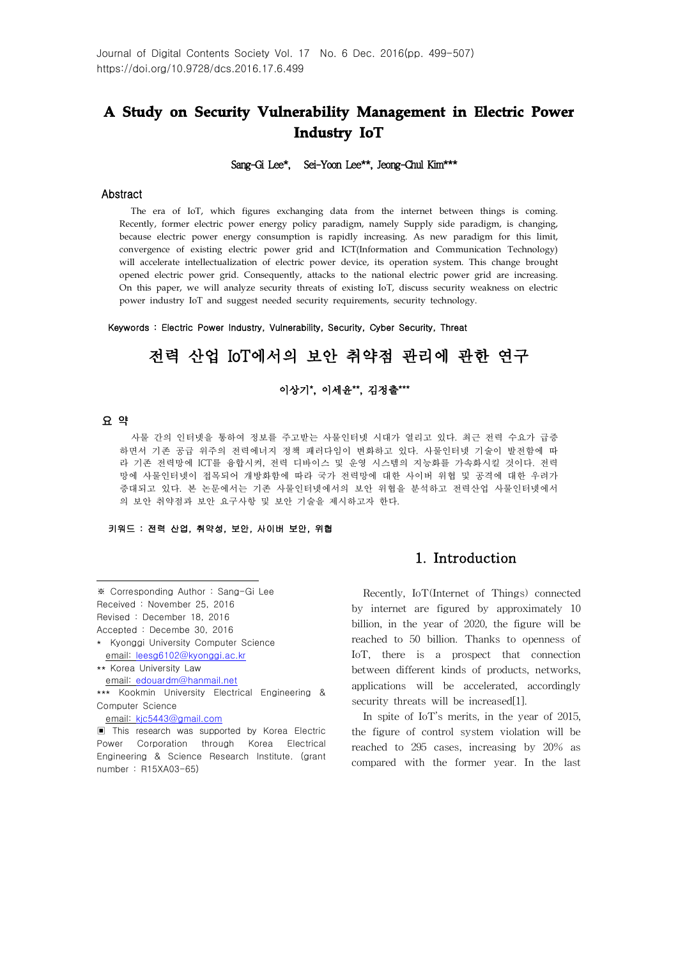# **A Study on Security Vulnerability Management in Electric Power Industry IoT**

#### Sang-Gi Lee\*, Sei-Yoon Lee\*\*, Jeong-Chul Kim\*\*\*

#### Abstract

The era of IoT, which figures exchanging data from the internet between things is coming. Recently, former electric power energy policy paradigm, namely Supply side paradigm, is changing, because electric power energy consumption is rapidly increasing. As new paradigm for this limit, convergence of existing electric power grid and ICT(Information and Communication Technology) will accelerate intellectualization of electric power device, its operation system. This change brought opened electric power grid. Consequently, attacks to the national electric power grid are increasing. On this paper, we will analyze security threats of existing IoT, discuss security weakness on electric power industry IoT and suggest needed security requirements, security technology.

Keywords : Electric Power Industry, Vulnerability, Security, Cyber Security, Threat

# 전력 산업 IoT에서의 보안 취약점 관리에 관한 연구

#### 이상기\*, 이세윤\*\*, 김정출\*\*\*

#### 요 약

사물 간의 인터넷을 통하여 정보를 주고받는 사물인터넷 시대가 열리고 있다. 최근 전력 수요가 급증 하면서 기존 공급 위주의 전력에너지 정책 패러다임이 변화하고 있다. 사물인터넷 기술이 발전함에 따 라 기존 전력망에 ICT를 융합시켜, 전력 디바이스 및 운영 시스템의 지능화를 가속화시킬 것이다. 전력 망에 사물인터넷이 접목되어 개방화함에 따라 국가 전력망에 대한 사이버 위협 및 공격에 대한 우려가 증대되고 있다. 본 논문에서는 기존 사물인터넷에서의 보안 위협을 분석하고 전력산업 사물인터넷에서 의 보안 취약점과 보안 요구사항 및 보안 기술을 제시하고자 한다.

#### 키워드 : 전력 산업, 취약성, 보안, 사이버 보안, 위협

- Revised : December 18, 2016
- Accepted : Decembe 30, 2016

```
email: edouardm@hanmail.net
```
\*\*\* Kookmin University Electrical Engineering & Computer Science

## 1. Introduction

Recently, IoT(Internet of Things) connected by internet are figured by approximately 10 billion, in the year of 2020, the figure will be reached to 50 billion. Thanks to openness of IoT, there is a prospect that connection between different kinds of products, networks, applications will be accelerated, accordingly security threats will be increased[1].

In spite of IoT's merits, in the year of 2015, the figure of control system violation will be reached to 295 cases, increasing by 20% as compared with the former year. In the last

<sup>※</sup> Corresponding Author : Sang-Gi Lee Received : November 25, 2016

<sup>\*</sup> Kyonggi University Computer Science email: leesg6102@kyonggi.ac.kr

<sup>\*\*</sup> Korea University Law

email: kjc5443@gmail.com

<sup>▣</sup> This research was supported by Korea Electric Power Corporation through Korea Electrical Engineering & Science Research Institute. (grant number : R15XA03-65)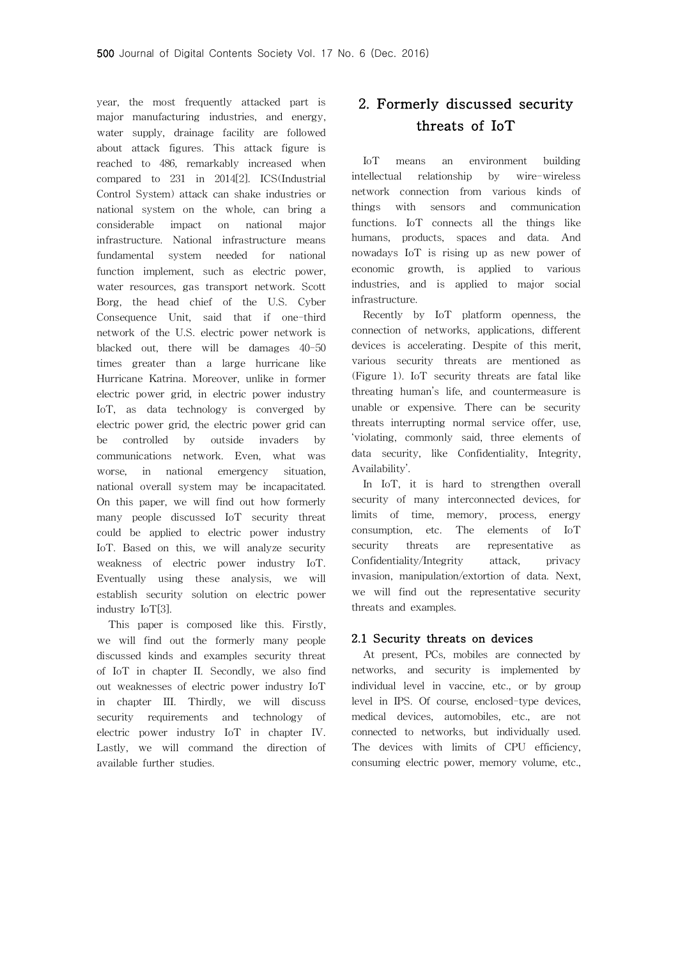year, the most frequently attacked part is major manufacturing industries, and energy, water supply, drainage facility are followed about attack figures. This attack figure is reached to 486, remarkably increased when compared to 231 in 2014[2]. ICS(Industrial Control System) attack can shake industries or national system on the whole, can bring a considerable impact on national major infrastructure. National infrastructure means fundamental system needed for national function implement, such as electric power, water resources, gas transport network. Scott Borg, the head chief of the U.S. Cyber Consequence Unit, said that if one-third network of the U.S. electric power network is blacked out, there will be damages 40-50 times greater than a large hurricane like Hurricane Katrina. Moreover, unlike in former electric power grid, in electric power industry IoT, as data technology is converged by electric power grid, the electric power grid can be controlled by outside invaders by communications network. Even, what was worse, in national emergency situation, national overall system may be incapacitated. On this paper, we will find out how formerly many people discussed IoT security threat could be applied to electric power industry IoT. Based on this, we will analyze security weakness of electric power industry IoT. Eventually using these analysis, we will establish security solution on electric power industry IoT[3].

This paper is composed like this. Firstly, we will find out the formerly many people discussed kinds and examples security threat of IoT in chapter II. Secondly, we also find out weaknesses of electric power industry IoT in chapter III. Thirdly, we will discuss security requirements and technology of electric power industry IoT in chapter IV. Lastly, we will command the direction of available further studies.

# 2. Formerly discussed security threats of IoT

IoT means an environment building intellectual relationship by wire-wireless network connection from various kinds of things with sensors and communication functions. IoT connects all the things like humans, products, spaces and data. And nowadays IoT is rising up as new power of economic growth, is applied to various industries, and is applied to major social infrastructure.

Recently by IoT platform openness, the connection of networks, applications, different devices is accelerating. Despite of this merit, various security threats are mentioned as (Figure 1). IoT security threats are fatal like threating human's life, and countermeasure is unable or expensive. There can be security threats interrupting normal service offer, use, 'violating, commonly said, three elements of data security, like Confidentiality, Integrity, Availability'.

In IoT, it is hard to strengthen overall security of many interconnected devices, for limits of time, memory, process, energy consumption, etc. The elements of IoT security threats are representative as Confidentiality/Integrity attack, privacy invasion, manipulation/extortion of data. Next, we will find out the representative security threats and examples.

#### 2.1 Security threats on devices

At present, PCs, mobiles are connected by networks, and security is implemented by individual level in vaccine, etc., or by group level in IPS. Of course, enclosed-type devices, medical devices, automobiles, etc., are not connected to networks, but individually used. The devices with limits of CPU efficiency, consuming electric power, memory volume, etc.,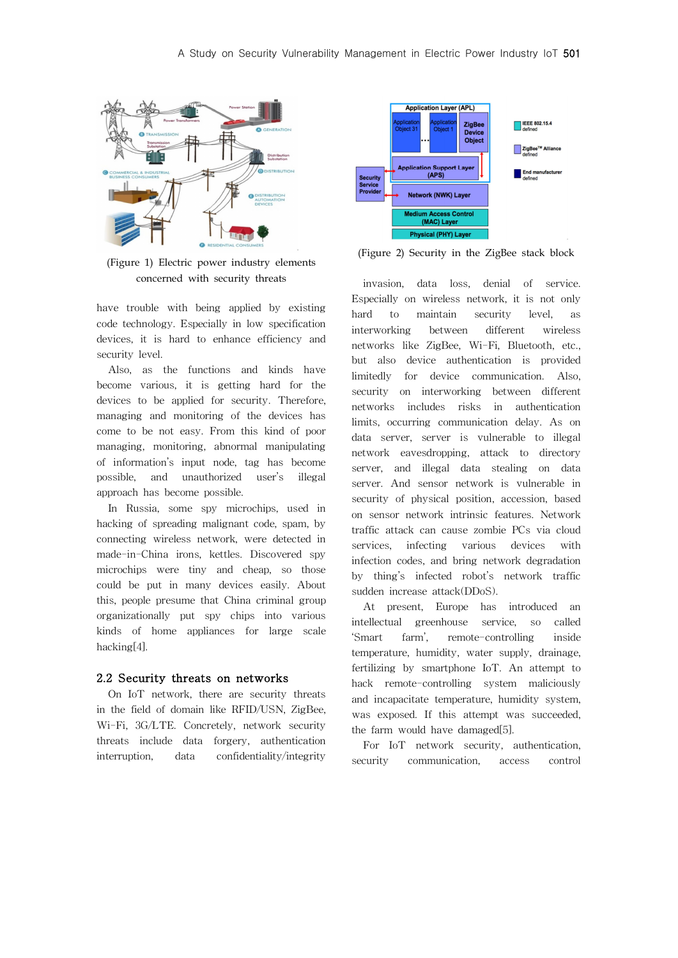

(Figure 1) Electric power industry elements concerned with security threats

have trouble with being applied by existing code technology. Especially in low specification devices, it is hard to enhance efficiency and security level.

Also, as the functions and kinds have become various, it is getting hard for the devices to be applied for security. Therefore, managing and monitoring of the devices has come to be not easy. From this kind of poor managing, monitoring, abnormal manipulating of information's input node, tag has become possible, and unauthorized user's illegal approach has become possible.

In Russia, some spy microchips, used in hacking of spreading malignant code, spam, by connecting wireless network, were detected in made-in-China irons, kettles. Discovered spy microchips were tiny and cheap, so those could be put in many devices easily. About this, people presume that China criminal group organizationally put spy chips into various kinds of home appliances for large scale hacking[4].

### 2.2 Security threats on networks

On IoT network, there are security threats in the field of domain like RFID/USN, ZigBee, Wi-Fi, 3G/LTE. Concretely, network security threats include data forgery, authentication interruption, data confidentiality/integrity



(Figure 2) Security in the ZigBee stack block

invasion, data loss, denial of service. Especially on wireless network, it is not only hard to maintain security level, as interworking between different wireless networks like ZigBee, Wi-Fi, Bluetooth, etc., but also device authentication is provided limitedly for device communication. Also, security on interworking between different networks includes risks in authentication limits, occurring communication delay. As on data server, server is vulnerable to illegal network eavesdropping, attack to directory server, and illegal data stealing on data server. And sensor network is vulnerable in security of physical position, accession, based on sensor network intrinsic features. Network traffic attack can cause zombie PCs via cloud services, infecting various devices with infection codes, and bring network degradation by thing's infected robot's network traffic sudden increase attack(DDoS).

At present, Europe has introduced an intellectual greenhouse service, so called 'Smart farm', remote-controlling inside temperature, humidity, water supply, drainage, fertilizing by smartphone IoT. An attempt to hack remote-controlling system maliciously and incapacitate temperature, humidity system, was exposed. If this attempt was succeeded, the farm would have damaged[5].

For IoT network security, authentication, security communication, access control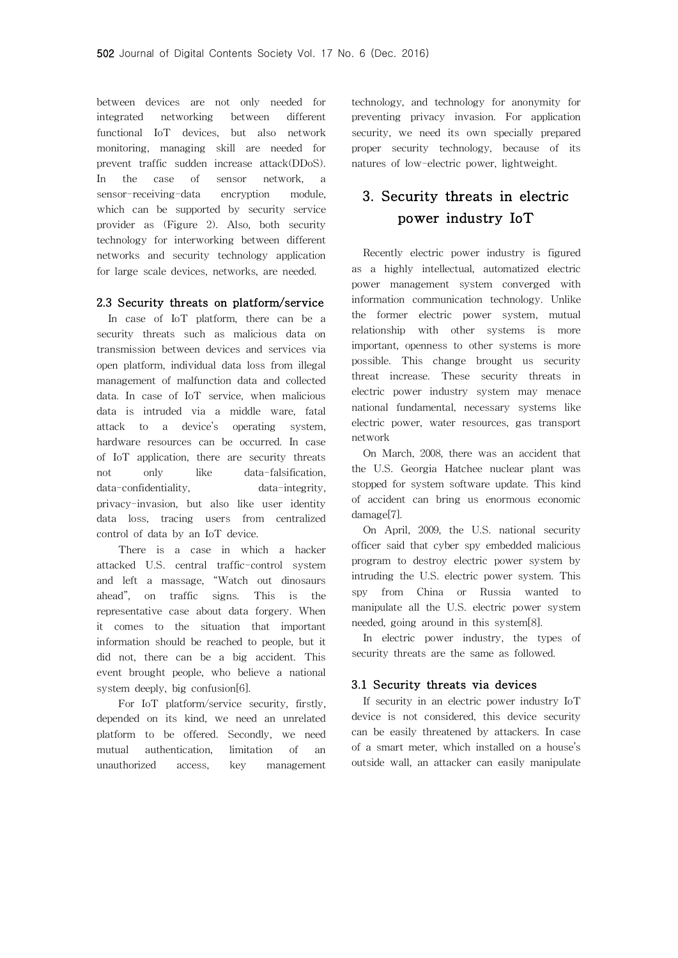between devices are not only needed for integrated networking between different functional IoT devices, but also network monitoring, managing skill are needed for prevent traffic sudden increase attack(DDoS). In the case of sensor network, a sensor-receiving-data encryption module, which can be supported by security service provider as (Figure 2). Also, both security technology for interworking between different networks and security technology application for large scale devices, networks, are needed.

#### 2.3 Security threats on platform/service

In case of IoT platform, there can be a security threats such as malicious data on transmission between devices and services via open platform, individual data loss from illegal management of malfunction data and collected data. In case of IoT service, when malicious data is intruded via a middle ware, fatal attack to a device's operating system, hardware resources can be occurred. In case of IoT application, there are security threats not only like data-falsification. data-confidentiality, data-integrity, privacy-invasion, but also like user identity data loss, tracing users from centralized control of data by an IoT device.

There is a case in which a hacker attacked U.S. central traffic-control system and left a massage, "Watch out dinosaurs ahead", on traffic signs. This is the representative case about data forgery. When it comes to the situation that important information should be reached to people, but it did not, there can be a big accident. This event brought people, who believe a national system deeply, big confusion[6].

For IoT platform/service security, firstly, depended on its kind, we need an unrelated platform to be offered. Secondly, we need mutual authentication, limitation of an unauthorized access, key management technology, and technology for anonymity for preventing privacy invasion. For application security, we need its own specially prepared proper security technology, because of its natures of low-electric power, lightweight.

# 3. Security threats in electric power industry IoT

Recently electric power industry is figured as a highly intellectual, automatized electric power management system converged with information communication technology. Unlike the former electric power system, mutual relationship with other systems is more important, openness to other systems is more possible. This change brought us security threat increase. These security threats in electric power industry system may menace national fundamental, necessary systems like electric power, water resources, gas transport network

On March, 2008, there was an accident that the U.S. Georgia Hatchee nuclear plant was stopped for system software update. This kind of accident can bring us enormous economic damage[7].

On April, 2009, the U.S. national security officer said that cyber spy embedded malicious program to destroy electric power system by intruding the U.S. electric power system. This spy from China or Russia wanted to manipulate all the U.S. electric power system needed, going around in this system[8].

In electric power industry, the types of security threats are the same as followed.

#### 3.1 Security threats via devices

If security in an electric power industry IoT device is not considered, this device security can be easily threatened by attackers. In case of a smart meter, which installed on a house's outside wall, an attacker can easily manipulate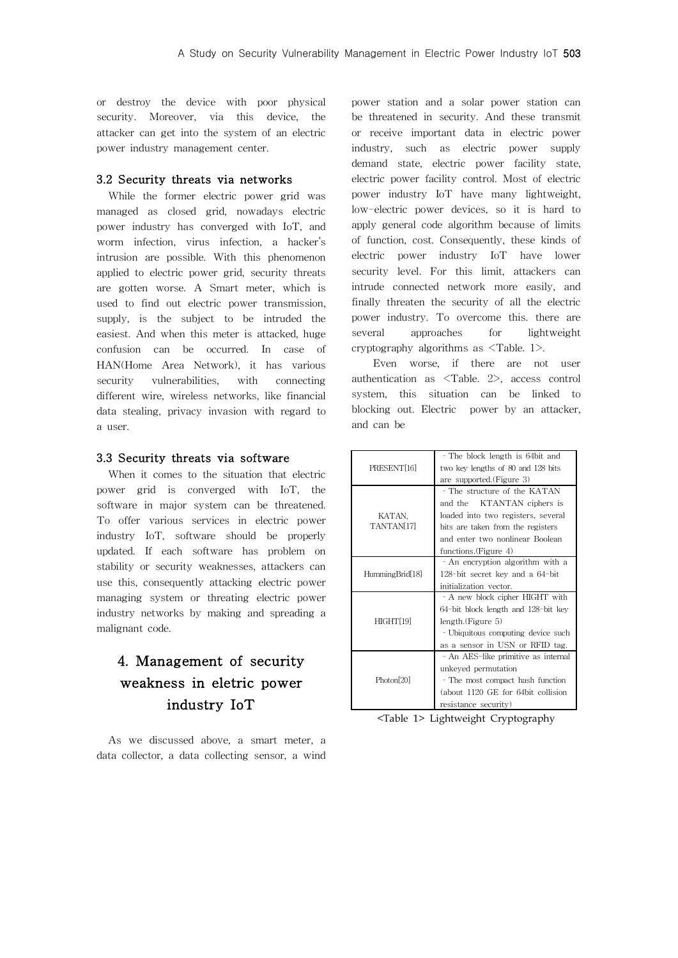or destroy the device with poor physical security. Moreover, via this device, the attacker can get into the system of an electric power industry management center.

#### 3.2 Security threats via networks

While the former electric power grid was managed as closed grid, nowadays electric power industry has converged with IoT, and worm infection, virus infection, a hacker's intrusion are possible. With this phenomenon applied to electric power grid, security threats are gotten worse. A Smart meter, which is used to find out electric power transmission, supply, is the subject to be intruded the easiest. And when this meter is attacked, huge confusion can be occurred. In case of HAN(Home Area Network), it has various security vulnerabilities, with connecting different wire, wireless networks, like financial data stealing, privacy invasion with regard to a user.

#### 3.3 Security threats via software

When it comes to the situation that electric power grid is converged with IoT, the software in major system can be threatened. To offer various services in electric power industry IoT, software should be properly updated. If each software has problem on stability or security weaknesses, attackers can use this, consequently attacking electric power managing system or threating electric power industry networks by making and spreading a malignant code.

# 4. Management of security weakness in eletric power industry IoT

As we discussed above, a smart meter, a data collector, a data collecting sensor, a wind power station and a solar power station can be threatened in security. And these transmit or receive important data in electric power industry, such as electric power supply demand state, electric power facility state, electric power facility control. Most of electric power industry IoT have many lightweight, low-electric power devices, so it is hard to apply general code algorithm because of limits of function, cost. Consequently, these kinds of electric power industry IoT have lower security level. For this limit, attackers can intrude connected network more easily, and finally threaten the security of all the electric power industry. To overcome this. there are several approaches for lightweight cryptography algorithms as <Table. 1>.

Even worse, if there are not user authentication as <Table. 2>, access control system, this situation can be linked to blocking out. Electric power by an attacker, and can be

| PRESENT[16]            | - The block length is 64 bit and    |
|------------------------|-------------------------------------|
|                        | two key lengths of 80 and 128 bits  |
|                        | are supported. (Figure 3)           |
| KATAN,<br>TANTAN[17]   | - The structure of the KATAN        |
|                        | and the KTANTAN ciphers is          |
|                        | loaded into two registers, several  |
|                        | bits are taken from the registers   |
|                        | and enter two nonlinear Boolean     |
|                        | functions. (Figure 4)               |
|                        | - An encryption algorithm with a    |
| HummingBrid[18]        | 128-bit secret key and a 64-bit     |
|                        | initialization vector.              |
| HIGHT[19]              | - A new block cipher HIGHT with     |
|                        | 64-bit block length and 128-bit key |
|                        | length.(Figure 5)                   |
|                        | - Ubiquitous computing device such  |
|                        | as a sensor in USN or RFID tag.     |
| Photon <sup>[20]</sup> | - An AES-like primitive as internal |
|                        | unkeved permutation                 |
|                        | - The most compact hash function    |
|                        | (about 1120 GE for 64bit collision  |
|                        | resistance security)                |

<Table 1> Lightweight Cryptography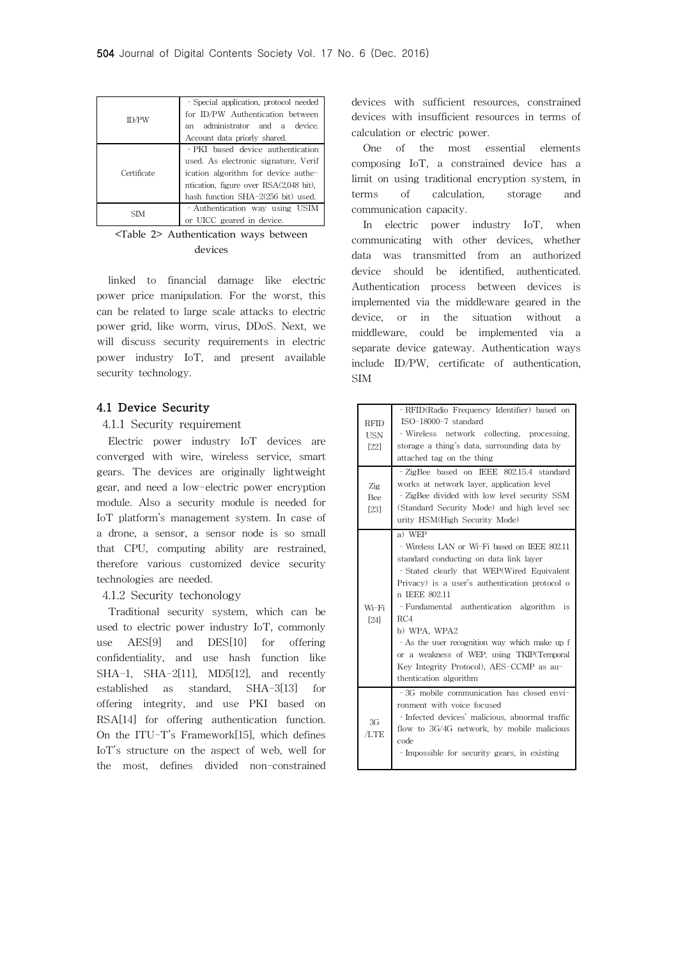| ID/PW       | - Special application, protocol needed |
|-------------|----------------------------------------|
|             | for ID/PW Authentication between       |
|             | administrator and a device.<br>an      |
|             | Account data priorly shared.           |
| Certificate | - PKI based device authentication      |
|             | used. As electronic signature, Verif   |
|             | ication algorithm for device authe-    |
|             | ntication, figure over RSA(2,048 bit), |
|             | hash function SHA-2(256 bit) used.     |
| SIM         | - Authentication way using USIM        |
|             | or UICC geared in device.              |

<Table 2> Authentication ways between devices

linked to financial damage like electric power price manipulation. For the worst, this can be related to large scale attacks to electric power grid, like worm, virus, DDoS. Next, we will discuss security requirements in electric power industry IoT, and present available security technology.

#### 4.1 Device Security

#### 4.1.1 Security requirement

Electric power industry IoT devices are converged with wire, wireless service, smart gears. The devices are originally lightweight gear, and need a low-electric power encryption module. Also a security module is needed for IoT platform's management system. In case of a drone, a sensor, a sensor node is so small that CPU, computing ability are restrained, therefore various customized device security technologies are needed.

### 4.1.2 Security techonology

Traditional security system, which can be used to electric power industry IoT, commonly use AES[9] and DES[10] for offering confidentiality, and use hash function like SHA-1, SHA-2[11], MD5[12], and recently established as standard, SHA-3[13] for offering integrity, and use PKI based on RSA[14] for offering authentication function. On the ITU-T's Framework[15], which defines IoT's structure on the aspect of web, well for the most, defines divided non-constrained devices with sufficient resources, constrained devices with insufficient resources in terms of calculation or electric power.

One of the most essential elements composing IoT, a constrained device has a limit on using traditional encryption system, in terms of calculation, storage and communication capacity.

In electric power industry IoT, when communicating with other devices, whether data was transmitted from an authorized device should be identified, authenticated. Authentication process between devices is implemented via the middleware geared in the device, or in the situation without a middleware, could be implemented via a separate device gateway. Authentication ways include ID/PW, certificate of authentication, SIM

| <b>RFID</b><br><b>USN</b><br>[22]<br>$\mathbb{Z}$ ig | - RFID(Radio Frequency Identifier) based on<br>ISO-18000-7 standard<br>- Wireless network collecting, processing,<br>storage a thing's data, surrounding data by<br>attached tag on the thing<br>- ZigBee based on IEEE 802.15.4 standard<br>works at network layer, application level                                                                                                                                                                    |
|------------------------------------------------------|-----------------------------------------------------------------------------------------------------------------------------------------------------------------------------------------------------------------------------------------------------------------------------------------------------------------------------------------------------------------------------------------------------------------------------------------------------------|
| Bee<br>[23]                                          | - ZigBee divided with low level security SSM<br>(Standard Security Mode) and high level sec<br>urity HSM(High Security Mode)                                                                                                                                                                                                                                                                                                                              |
| Wi-Fi<br>[24]                                        | a) WEP<br>- Wireless LAN or Wi-Fi based on IEEE 802.11<br>standard conducting on data link layer<br>- Stated clearly that WEP(Wired Equivalent<br>Privacy) is a user's authentication protocol o<br>n IEEE 802.11<br>- Fundamental authentication algorithm is<br>RC4<br>b) WPA, WPA2<br>- As the user recognition way which make up f<br>or a weakness of WEP, using TKIP(Temporal<br>Key Integrity Protocol), AES-CCMP as au-<br>thentication algorithm |
| 3G<br>/LTE                                           | -3G mobile communication has closed envi-<br>ronment, with voice focused<br>- Infected devices' malicious, abnormal traffic<br>flow to 3G/4G network, by mobile malicious<br>code<br>- Impossible for security gears, in existing                                                                                                                                                                                                                         |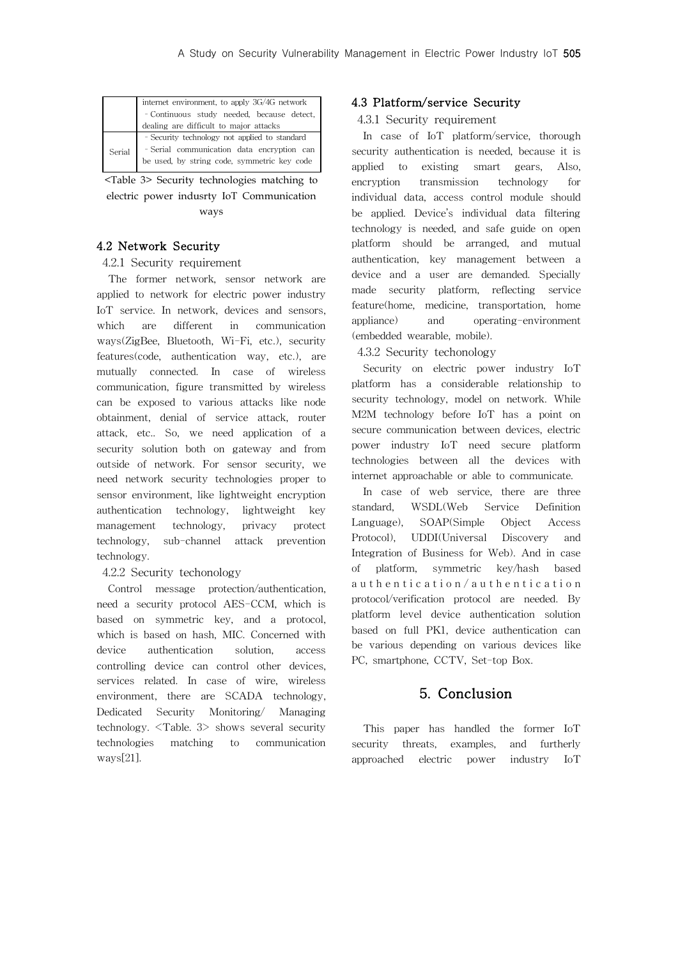| internet environment, to apply 3G/4G network  |  |
|-----------------------------------------------|--|
| - Continuous study needed, because detect,    |  |
| dealing are difficult to major attacks        |  |
| - Security technology not applied to standard |  |
| - Serial communication data encryption can    |  |
| be used, by string code, symmetric key code   |  |
|                                               |  |

<Table 3> Security technologies matching to electric power indusrty IoT Communication ways

## 4.2 Network Security

### 4.2.1 Security requirement

The former network, sensor network are applied to network for electric power industry IoT service. In network, devices and sensors, which are different in communication ways(ZigBee, Bluetooth, Wi-Fi, etc.), security features(code, authentication way, etc.), are mutually connected. In case of wireless communication, figure transmitted by wireless can be exposed to various attacks like node obtainment, denial of service attack, router attack, etc.. So, we need application of a security solution both on gateway and from outside of network. For sensor security, we need network security technologies proper to sensor environment, like lightweight encryption authentication technology, lightweight key management technology, privacy protect technology, sub-channel attack prevention technology.

4.2.2 Security techonology

Control message protection/authentication, need a security protocol AES-CCM, which is based on symmetric key, and a protocol, which is based on hash, MIC. Concerned with device authentication solution, access controlling device can control other devices, services related. In case of wire, wireless environment, there are SCADA technology, Dedicated Security Monitoring/ Managing technology. <Table. 3> shows several security technologies matching to communication ways[21].

## 4.3 Platform/service Security

## 4.3.1 Security requirement

In case of IoT platform/service, thorough security authentication is needed, because it is applied to existing smart gears, Also, encryption transmission technology for individual data, access control module should be applied. Device's individual data filtering technology is needed, and safe guide on open platform should be arranged, and mutual authentication, key management between a device and a user are demanded. Specially made security platform, reflecting service feature(home, medicine, transportation, home appliance) and operating-environment (embedded wearable, mobile).

4.3.2 Security techonology

Security on electric power industry IoT platform has a considerable relationship to security technology, model on network. While M2M technology before IoT has a point on secure communication between devices, electric power industry IoT need secure platform technologies between all the devices with internet approachable or able to communicate.

In case of web service, there are three standard, WSDL(Web Service Definition Language), SOAP(Simple Object Access Protocol), UDDI(Universal Discovery and Integration of Business for Web). And in case of platform, symmetric key/hash based authentication/authentication protocol/verification protocol are needed. By platform level device authentication solution based on full PK1, device authentication can be various depending on various devices like PC, smartphone, CCTV, Set-top Box.

## 5. Conclusion

This paper has handled the former IoT security threats, examples, and furtherly approached electric power industry IoT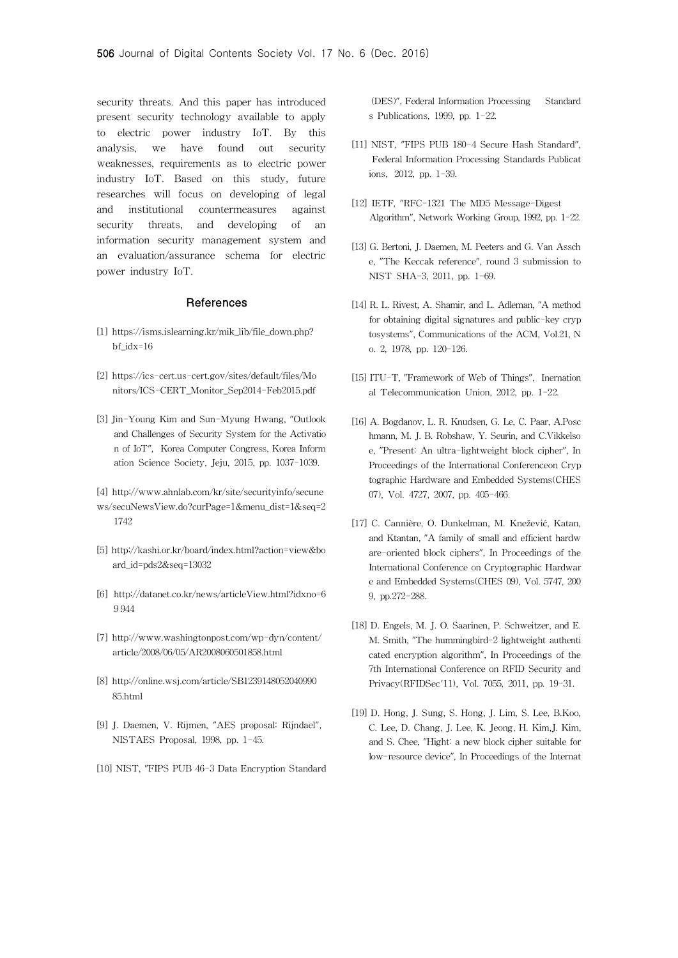security threats. And this paper has introduced present security technology available to apply to electric power industry IoT. By this analysis, we have found out security weaknesses, requirements as to electric power industry IoT. Based on this study, future researches will focus on developing of legal and institutional countermeasures against security threats, and developing of an information security management system and an evaluation/assurance schema for electric power industry IoT.

#### References

- [1] https://isms.islearning.kr/mik\_lib/file\_down.php? bf\_idx=16
- [2] https://ics-cert.us-cert.gov/sites/default/files/Mo nitors/ICS-CERT\_Monitor\_Sep2014-Feb2015.pdf
- [3] Jin-Young Kim and Sun-Myung Hwang, "Outlook and Challenges of Security System for the Activatio n of IoT", Korea Computer Congress, Korea Inform ation Science Society, Jeju, 2015, pp. 1037-1039.
- [4] http://www.ahnlab.com/kr/site/securityinfo/secune ws/secuNewsView.do?curPage=1&menu\_dist=1&seq=2 1742
- [5] http://kashi.or.kr/board/index.html?action=view&bo ard\_id=pds2&seq=13032
- [6] http://datanet.co.kr/news/articleView.html?idxno=6 9 944
- [7] http://www.washingtonpost.com/wp-dyn/content/ article/2008/06/05/AR2008060501858.html
- [8] http://online.wsj.com/article/SB1239148052040990 85.html
- [9] J. Daemen, V. Rijmen, "AES proposal: Rijndael", NISTAES Proposal, 1998, pp. 1-45.
- [10] NIST, "FIPS PUB 46-3 Data Encryption Standard

(DES)", Federal Information Processing Standard s Publications, 1999, pp. 1-22.

- [11] NIST, "FIPS PUB 180-4 Secure Hash Standard", Federal Information Processing Standards Publicat ions, 2012, pp. 1-39.
- [12] IETF, "RFC-1321 The MD5 Message-Digest Algorithm", Network Working Group, 1992, pp. 1-22.
- [13] G. Bertoni, J. Daemen, M. Peeters and G. Van Assch e, "The Keccak reference", round 3 submission to NIST SHA-3, 2011, pp. 1-69.
- [14] R. L. Rivest, A. Shamir, and L. Adleman, "A method for obtaining digital signatures and public-key cryp tosystems", Communications of the ACM, Vol.21, N o. 2, 1978, pp. 120-126.
- [15] ITU-T, "Framework of Web of Things", Inernation al Telecommunication Union, 2012, pp. 1-22.
- [16] A. Bogdanov, L. R. Knudsen, G. Le, C. Paar, A.Posc hmann, M. J. B. Robshaw, Y. Seurin, and C.Vikkelso e, "Present: An ultra-lightweight block cipher", In Proceedings of the International Conferenceon Cryp tographic Hardware and Embedded Systems(CHES 07), Vol. 4727, 2007, pp. 405-466.
- [17] C. Cannière, O. Dunkelman, M. Knežević, Katan, and Ktantan, "A family of small and efficient hardw are-oriented block ciphers", In Proceedings of the International Conference on Cryptographic Hardwar e and Embedded Systems(CHES 09), Vol. 5747, 200 9, pp.272-288.
- [18] D. Engels, M. J. O. Saarinen, P. Schweitzer, and E. M. Smith, "The hummingbird-2 lightweight authenti cated encryption algorithm", In Proceedings of the 7th International Conference on RFID Security and Privacy(RFIDSec'11), Vol. 7055, 2011, pp. 19-31.
- [19] D. Hong, J. Sung, S. Hong, J. Lim, S. Lee, B.Koo, C. Lee, D. Chang, J. Lee, K. Jeong, H. Kim,J. Kim, and S. Chee, "Hight: a new block cipher suitable for low-resource device", In Proceedings of the Internat